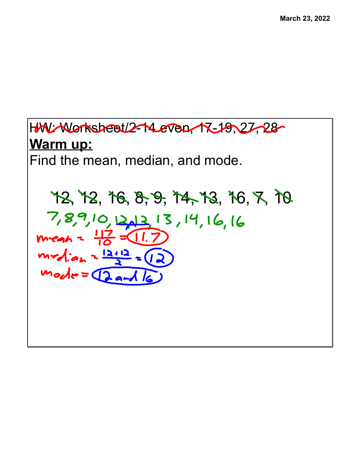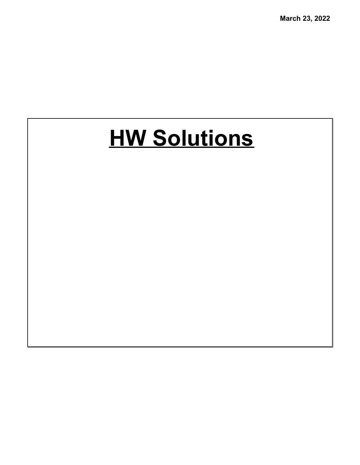# **HW Solutions**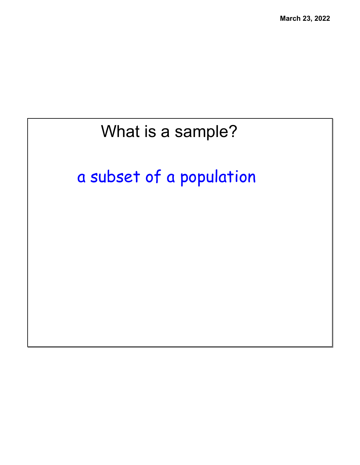#### What is a sample?

### a subset of a population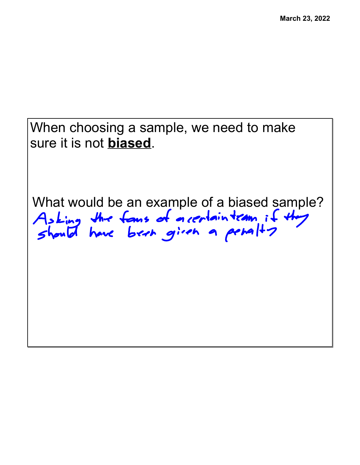When choosing a sample, we need to make sure it is not **biased**.

What would be an example of a biased sample?<br>Asking the fans of a certain term if they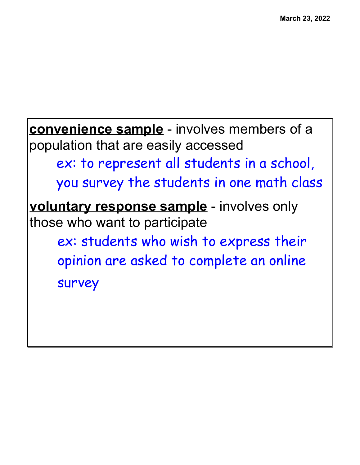**convenience sample** - involves members of a population that are easily accessed ex: to represent all students in a school, you survey the students in one math class **voluntary response sample** - involves only those who want to participate ex: students who wish to express their opinion are asked to complete an online survey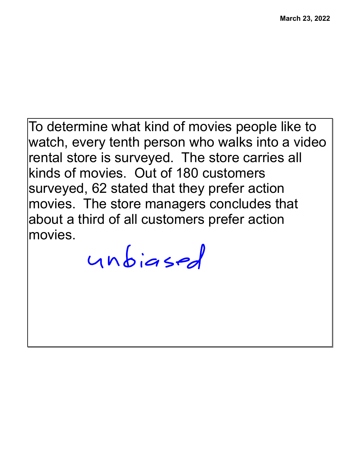To determine what kind of movies people like to watch, every tenth person who walks into a video rental store is surveyed. The store carries all kinds of movies. Out of 180 customers surveyed, 62 stated that they prefer action movies. The store managers concludes that about a third of all customers prefer action movies.

unbiased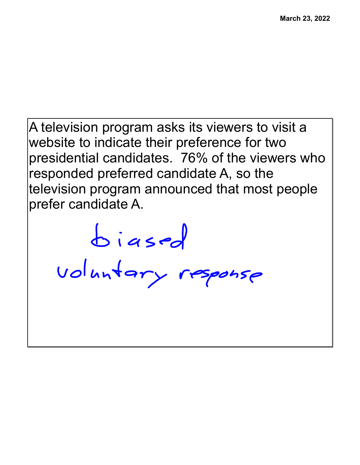A television program asks its viewers to visit a website to indicate their preference for two presidential candidates. 76% of the viewers who responded preferred candidate A, so the television program announced that most people prefer candidate A.

biased<br>voluntary response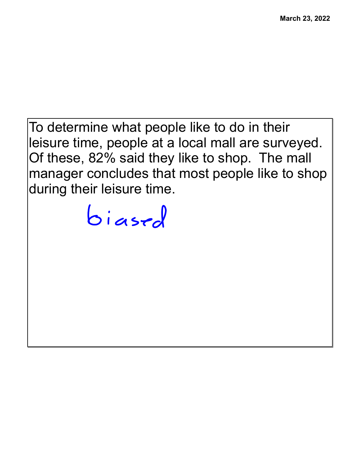To determine what people like to do in their leisure time, people at a local mall are surveyed. Of these, 82% said they like to shop. The mall manager concludes that most people like to shop during their leisure time.

biased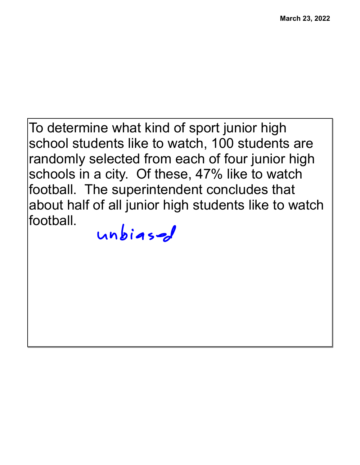To determine what kind of sport junior high school students like to watch, 100 students are randomly selected from each of four junior high schools in a city. Of these, 47% like to watch football. The superintendent concludes that about half of all junior high students like to watch football.

#### $unbias$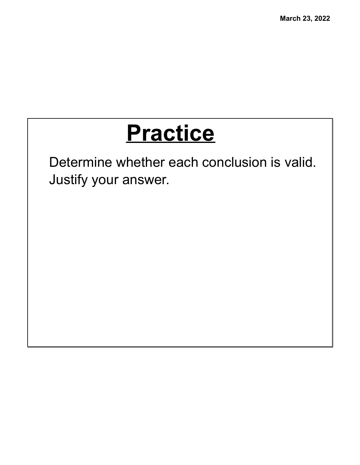## **Practice**

Determine whether each conclusion is valid. Justify your answer.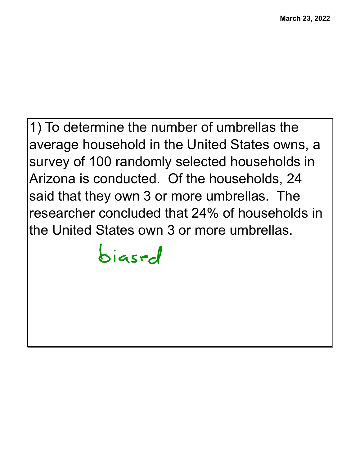1) To determine the number of umbrellas the average household in the United States owns, a survey of 100 randomly selected households in Arizona is conducted. Of the households, 24 said that they own 3 or more umbrellas. The researcher concluded that 24% of households in the United States own 3 or more umbrellas.

biased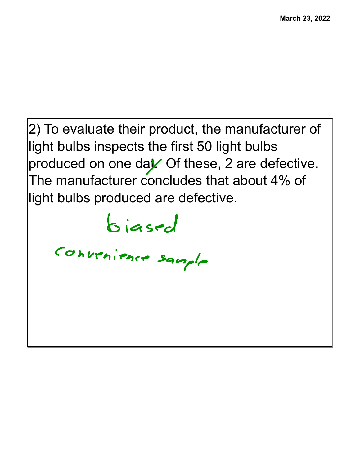2) To evaluate their product, the manufacturer of light bulbs inspects the first 50 light bulbs produced on one dat. Of these,  $2$  are defective. The manufacturer concludes that about 4% of light bulbs produced are defective.

biased

Convenience sample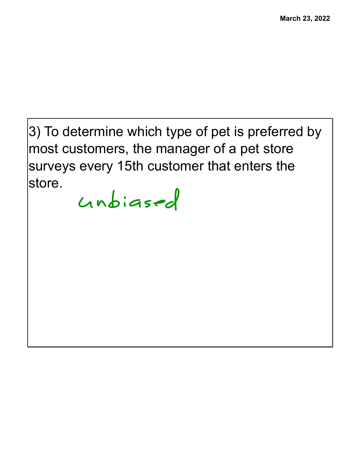3) To determine which type of pet is preferred by most customers, the manager of a pet store surveys every 15th customer that enters the store.

unbiased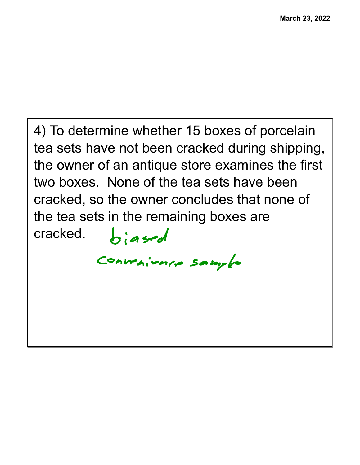```
4) To determine whether 15 boxes of porcelain
tea sets have not been cracked during shipping,
the owner of an antique store examines the first
two boxes. None of the tea sets have been
cracked, so the owner concludes that none of
the tea sets in the remaining boxes are
cracked.biased
         Convenience sample
```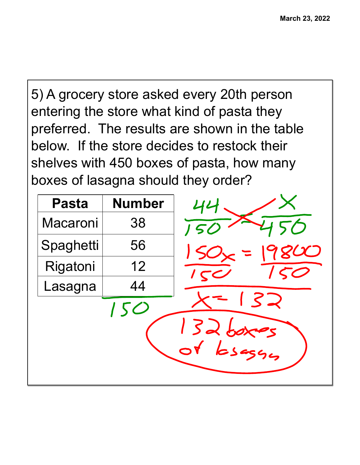5) A grocery store asked every 20th person entering the store what kind of pasta they preferred. The results are shown in the table below. If the store decides to restock their shelves with 450 boxes of pasta, how many boxes of lasagna should they order?

|     | 50<br>$\sqrt{5}$                |
|-----|---------------------------------|
|     | $\overline{\mathcal{C}}$<br>150 |
|     | $\overline{1}$                  |
|     |                                 |
| 150 | 37                              |
|     | 132 boxes                       |
|     |                                 |
|     |                                 |
|     |                                 |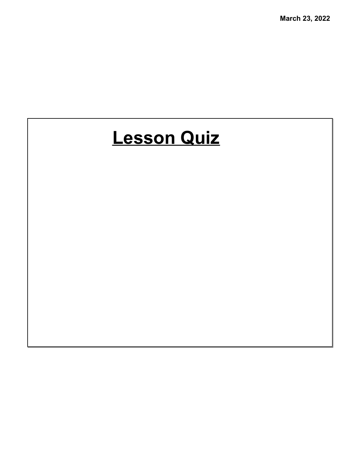#### **Lesson Quiz**